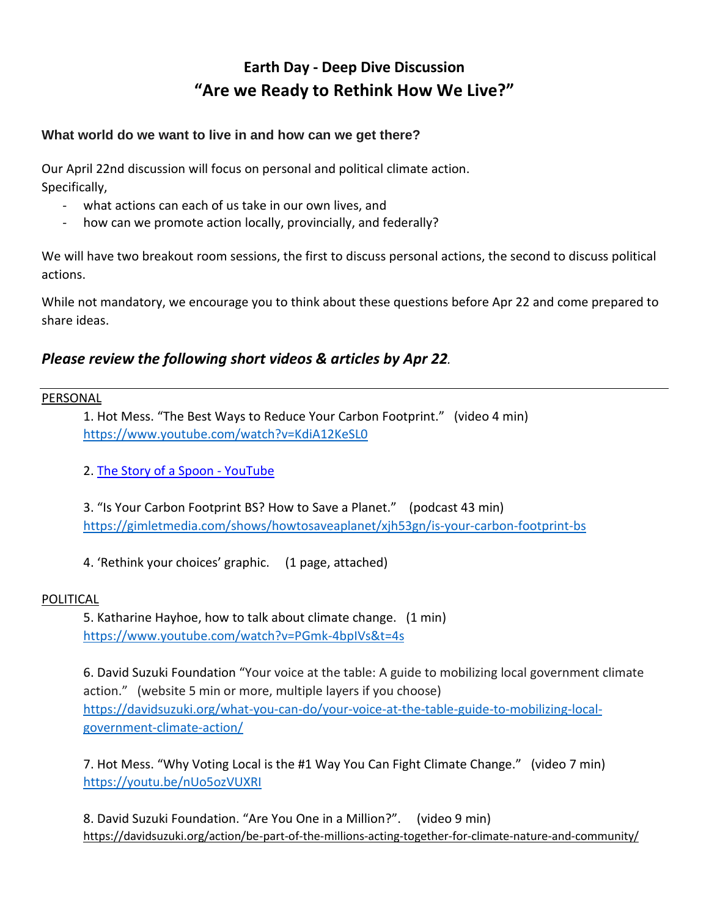# **Earth Day - Deep Dive Discussion "Are we Ready to Rethink How We Live?"**

## **What world do we want to live in and how can we get there?**

Our April 22nd discussion will focus on personal and political climate action. Specifically,

- what actions can each of us take in our own lives, and
- how can we promote action locally, provincially, and federally?

We will have two breakout room sessions, the first to discuss personal actions, the second to discuss political actions.

While not mandatory, we encourage you to think about these questions before Apr 22 and come prepared to share ideas.

## *Please review the following short videos & articles by Apr 22.*

### PERSONAL

1. Hot Mess. "The Best Ways to Reduce Your Carbon Footprint." (video 4 min) <https://www.youtube.com/watch?v=KdiA12KeSL0>

2. The Story of a Spoon - [YouTube](https://www.youtube.com/watch?v=eg-E1FtjaxY)

3. "Is Your Carbon Footprint BS? How to Save a Planet." (podcast 43 min) <https://gimletmedia.com/shows/howtosaveaplanet/xjh53gn/is-your-carbon-footprint-bs>

4. 'Rethink your choices' graphic. (1 page, attached)

### POLITICAL

5. Katharine Hayhoe, how to talk about climate change. (1 min) <https://www.youtube.com/watch?v=PGmk-4bpIVs&t=4s>

6. David Suzuki Foundation "Your voice at the table: A guide to mobilizing local government climate action." (website 5 min or more, multiple layers if you choose) [https://davidsuzuki.org/what-you-can-do/your-voice-at-the-table-guide-to-mobilizing-local](https://davidsuzuki.org/what-you-can-do/your-voice-at-the-table-guide-to-mobilizing-local-government-climate-action/)[government-climate-action/](https://davidsuzuki.org/what-you-can-do/your-voice-at-the-table-guide-to-mobilizing-local-government-climate-action/)

7. Hot Mess. "Why Voting Local is the #1 Way You Can Fight Climate Change." (video 7 min) <https://youtu.be/nUo5ozVUXRI>

8. David Suzuki Foundation. "Are You One in a Million?". (video 9 min) <https://davidsuzuki.org/action/be-part-of-the-millions-acting-together-for-climate-nature-and-community/>